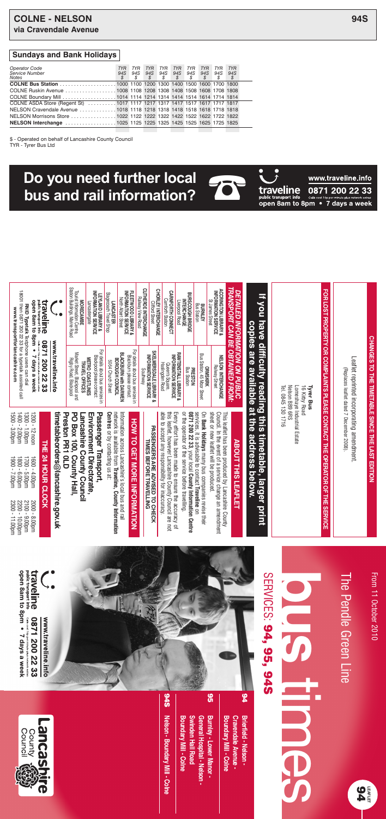

# **b**  $\frac{1}{2}$ **s**  $\frac{1}{2}$ <u>i ku ma</u> 3 **O**  $\boldsymbol{\omega}$ E R  $\leq$ E ပ္ပ **9 4 , 9 5 , 9 4 S9**

**S** 



### h  $\sigma$  $\overline{\phantom{a}}$  $\sigma$ i <sub>m</sub> d l e **Gre**  $\sigma$ n<sub>n</sub> **i**  $\sigma$

**Time** 

**F** r o

**4 Brenteld - Nelson -Cravendale** Avenue -**Boundary MIII - COING** 

**Burnley - Lower Manor -General**<br> **Hospital -**<br> **Nelson**<br>
-**SWINGEN Hall Hoad Boundary MIII - COING** 

**9 5**

**9 4 S Nelson - Boundary M i l l - C o l n e**



p m p m 0 p m

0 p m



| open 8am to 8pm  •  7<br>open 8am to 8pm  •  7<br><b>traveline</b>                                                                                                                          | Station Buildings, Marine Road<br>Tourist Information Centre,<br><b>INFORMATION SERVICE</b><br>LEYLAND LIBRARY &<br><b>MORECAMBE</b><br><b>Lancastergate</b>    | <b>INFORMATION SERVICE</b><br>North Albert Street<br>FLEETWOOD LIBRARY &<br>Stagecoach Travel Shop<br>Railway View Road<br><b>LANCASTER</b>         | CLITHEROE INTERCHANGE<br>CHORLEY INTERCHANGE<br><b>Clifford Street</b>                                          | <b>CARNFORTH CONNECT</b><br>Carnforth Station<br><b>BURSCOUGH BRIDGE</b><br><b>INTERCHANGE</b><br><b>Liverpool Road</b>                                                                                                      | <b>ACCRINGTON LIBRARY &amp;</b><br>INFORMATION SERVICE<br>St James Street<br><b>Bus Station</b><br><b>BURNLEY</b>                                                                                                      | <u>If you have</u>                                                                                                        |                                                                                                                                                         |                                                                                               |
|---------------------------------------------------------------------------------------------------------------------------------------------------------------------------------------------|-----------------------------------------------------------------------------------------------------------------------------------------------------------------|-----------------------------------------------------------------------------------------------------------------------------------------------------|-----------------------------------------------------------------------------------------------------------------|------------------------------------------------------------------------------------------------------------------------------------------------------------------------------------------------------------------------------|------------------------------------------------------------------------------------------------------------------------------------------------------------------------------------------------------------------------|---------------------------------------------------------------------------------------------------------------------------|---------------------------------------------------------------------------------------------------------------------------------------------------------|-----------------------------------------------------------------------------------------------|
| 18001 then 0871 200 22 33 for a typetalk assisted call<br>RNID Typetalk Textphone users can dial<br>www.transportforlancashire.com<br>0871 200 22 33<br>www.traveline.info<br>7 days a week | For details about bus services<br>Market Street, Blackpool and<br>Rigby Road, Blackpool<br>Blackpool please contact<br>METRO COASTLINES<br>TRAVEL OFFICES<br>Ξ. | For details about bus services in<br>BLACKBURN with DARWEN<br>Blackburn please contact:<br>BOROUGH COUNCIL<br>50-54 Church Street                   | <b>SKELMERSDALE LIBRARY</b><br><b>INFORMATION SERVICE</b><br>Haslingden Road<br>Southway<br>ହ૰                  | RAWTENSTALL LIBRARY &<br><b>INFORMATION SERVICE</b><br>Queen's Square,<br><b>Bus Station</b>                                                                                                                                 | Bus Station, 45 Moor Street<br><b>NELSON INTERCHANGE</b><br>Railway Street<br><b>ORMSKIRK</b><br><b>PRESTON</b>                                                                                                        | <b>TRANSPORT CAN BE OBTAINED FROM:</b><br>DETAILED INFORMATION ON PUBLIC<br>copies are available at<br>difficulty reading | FOR LOST PROPERTY OR COMPLAINTS PLEASE CONTACT THE OPERATOR OF THE SERVICE<br>Nelson BB9 6RS<br>16 Kirby Road<br>Tel. 0845 130 1716<br><b>Tyrer Bus</b> | CHANGES TO THE TIMETABLE SINCE THE LAST EDITION<br>Leaflet reprinted incorporating amendment. |
| 1500 - 3.00pm<br>1400 - 2.00pm<br>1300 - 1.00pm<br>1200 - 12 noon<br>붂                                                                                                                      | Passenger Transport,                                                                                                                                            | Centres or by contacting us at:                                                                                                                     |                                                                                                                 |                                                                                                                                                                                                                              | sheet or new leaflet will be produced                                                                                                                                                                                  | Sinis                                                                                                                     | Lomeshaye Industrial Estate                                                                                                                             | (Replaces leaflet dated 7 December 2008)                                                      |
| timetableorders@lancashire.gov.uk<br>24 HOUR CLOCK<br>H800 - 6.00pm<br>mq00.7 - 0001<br>1700 - 5.00pm<br>1600 - 4.00pm                                                                      | PO Box 100, County Hall,<br>Preston PR1 0LD<br>Lancashire County Council<br>Environment Directorate,                                                            | network is available from Traveline, County Information<br>Information across Lancashire's local bus and rail<br><b>HOW TO GET MORE INFORMATION</b> | able to accept any responsibility for inaccuracy.<br>PASSENGERS ARE ADVISED TO CHECK<br>TIMES BEFORE TRAVELLING | or the operator of the service before travelling.<br>0871 200 22 33, your local County Information Centre<br>this leaflet, however Lancashire County Council are not<br>Every effort has been made to ensure the accuracy of | services, it is advisable to contact Traveline on<br>On Bank Holidays many bus companies revise their<br>Council. In the event of a service change an amendment<br>This leaflet has been produced by Lancashire County | the address below.<br>timetable, larger print<br><b>ABOUT THIS LEAFLET</b>                                                |                                                                                                                                                         |                                                                                               |
| 2200 - 10.00pm<br>2100 - 9.00pm<br>2300 - 11.00pm<br>2000 - 8.00pm                                                                                                                          |                                                                                                                                                                 |                                                                                                                                                     |                                                                                                                 |                                                                                                                                                                                                                              |                                                                                                                                                                                                                        |                                                                                                                           |                                                                                                                                                         |                                                                                               |

 $\exists$  $\overrightarrow{=}$ October 2010

\$ - Operated on behalf of Lancashire County Council TYR - Tyrer Bus Ltd

### **Sundays and Bank Holidays**

**Do you need further local bus and rail information? ☎**



www.traveline.info traveline 0871 200 22 33 **public transport info** Calls cost top per minute plus network extras **OPEN 8am to 8pm • 7 days a week**